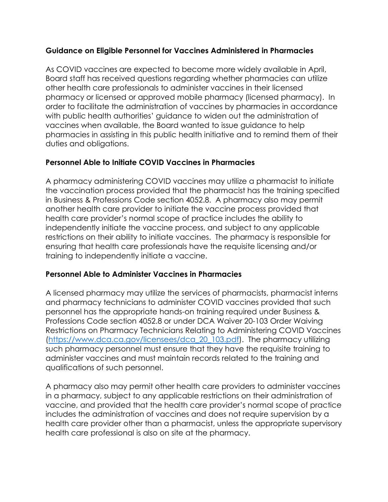#### **Guidance on Eligible Personnel for Vaccines Administered in Pharmacies**

As COVID vaccines are expected to become more widely available in April, Board staff has received questions regarding whether pharmacies can utilize other health care professionals to administer vaccines in their licensed pharmacy or licensed or approved mobile pharmacy (licensed pharmacy). In order to facilitate the administration of vaccines by pharmacies in accordance with public health authorities' guidance to widen out the administration of vaccines when available, the Board wanted to issue guidance to help pharmacies in assisting in this public health initiative and to remind them of their duties and obligations.

## **Personnel Able to Initiate COVID Vaccines in Pharmacies**

A pharmacy administering COVID vaccines may utilize a pharmacist to initiate the vaccination process provided that the pharmacist has the training specified in Business & Professions Code section 4052.8. A pharmacy also may permit another health care provider to initiate the vaccine process provided that health care provider's normal scope of practice includes the ability to independently initiate the vaccine process, and subject to any applicable restrictions on their ability to initiate vaccines. The pharmacy is responsible for ensuring that health care professionals have the requisite licensing and/or training to independently initiate a vaccine.

#### **Personnel Able to Administer Vaccines in Pharmacies**

A licensed pharmacy may utilize the services of pharmacists, pharmacist interns and pharmacy technicians to administer COVID vaccines provided that such personnel has the appropriate hands-on training required under Business & Professions Code section 4052.8 or under DCA Waiver 20-103 Order Waiving Restrictions on Pharmacy Technicians Relating to Administering COVID Vaccines [\(https://www.dca.ca.gov/licensees/dca\\_20\\_103.pdf\)](https://www.dca.ca.gov/licensees/dca_20_103.pdf). The pharmacy utilizing such pharmacy personnel must ensure that they have the requisite training to administer vaccines and must maintain records related to the training and qualifications of such personnel.

A pharmacy also may permit other health care providers to administer vaccines in a pharmacy, subject to any applicable restrictions on their administration of vaccine, and provided that the health care provider's normal scope of practice includes the administration of vaccines and does not require supervision by a health care provider other than a pharmacist, unless the appropriate supervisory health care professional is also on site at the pharmacy.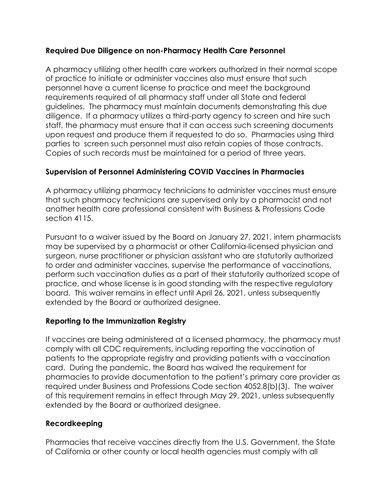## **Required Due Diligence on non-Pharmacy Health Care Personnel**

A pharmacy utilizing other health care workers authorized in their normal scope of practice to initiate or administer vaccines also must ensure that such personnel have a current license to practice and meet the background requirements required of all pharmacy staff under all State and federal guidelines. The pharmacy must maintain documents demonstrating this due diligence. If a pharmacy utilizes a third-party agency to screen and hire such staff, the pharmacy must ensure that it can access such screening documents upon request and produce them if requested to do so. Pharmacies using third parties to screen such personnel must also retain copies of those contracts. Copies of such records must be maintained for a period of three years.

# **Supervision of Personnel Administering COVID Vaccines in Pharmacies**

A pharmacy utilizing pharmacy technicians to administer vaccines must ensure that such pharmacy technicians are supervised only by a pharmacist and not another health care professional consistent with Business & Professions Code section 4115.

Pursuant to a waiver issued by the Board on January 27, 2021, intern pharmacists may be supervised by a pharmacist or other California-licensed physician and surgeon, nurse practitioner or physician assistant who are statutorily authorized to order and administer vaccines, supervise the performance of vaccinations, perform such vaccination duties as a part of their statutorily authorized scope of practice, and whose license is in good standing with the respective regulatory board. This waiver remains in effect until April 26, 2021, unless subsequently extended by the Board or authorized designee.

# **Reporting to the Immunization Registry**

If vaccines are being administered at a licensed pharmacy, the pharmacy must comply with all CDC requirements, including reporting the vaccination of patients to the appropriate registry and providing patients with a vaccination card. During the pandemic, the Board has waived the requirement for pharmacies to provide documentation to the patient's primary care provider as required under Business and Professions Code section 4052.8(b)(3). The waiver of this requirement remains in effect through May 29, 2021, unless subsequently extended by the Board or authorized designee.

# **Recordkeeping**

Pharmacies that receive vaccines directly from the U.S. Government, the State of California or other county or local health agencies must comply with all